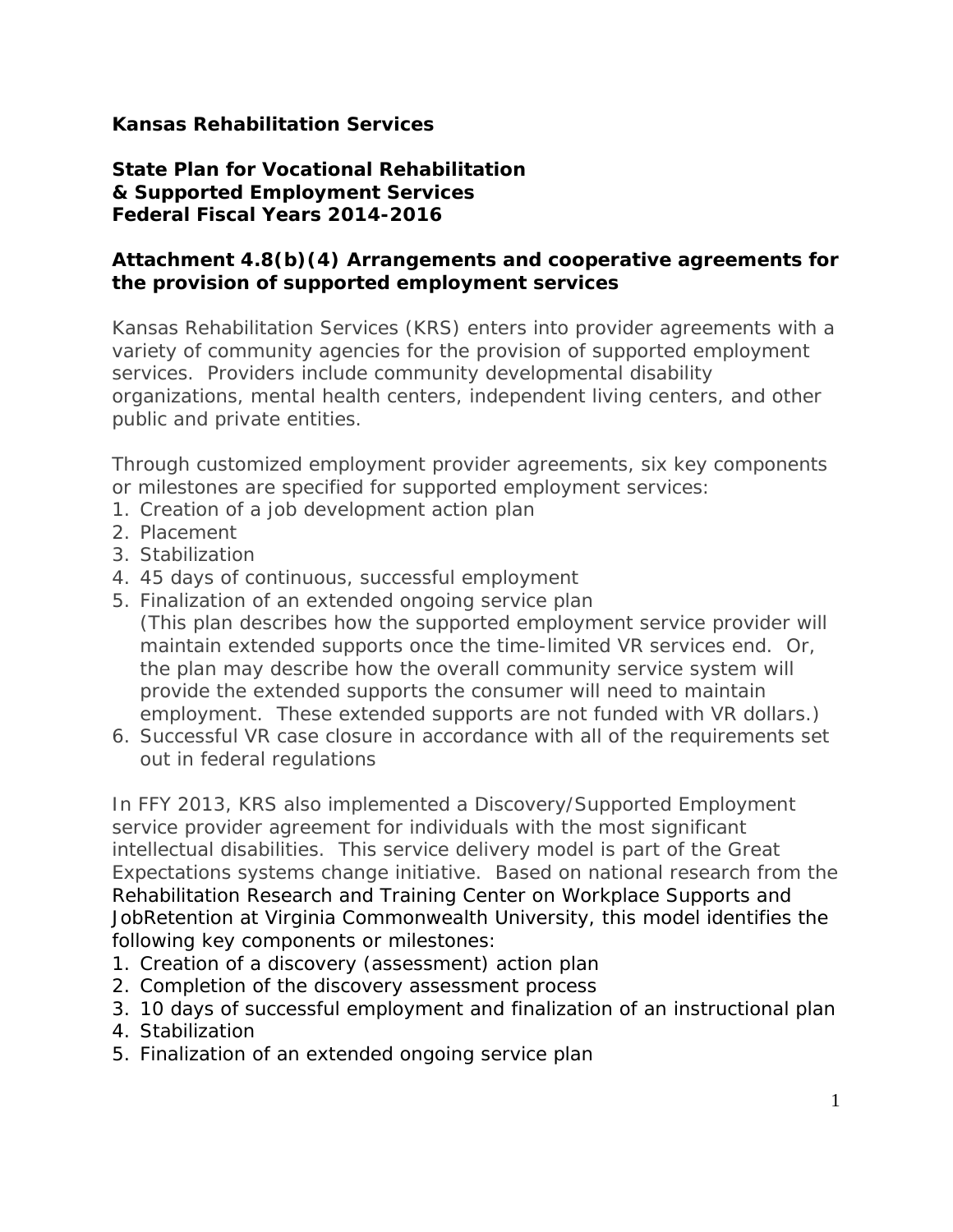## **Kansas Rehabilitation Services**

## **State Plan for Vocational Rehabilitation & Supported Employment Services Federal Fiscal Years 2014-2016**

## **Attachment 4.8(b)(4) Arrangements and cooperative agreements for the provision of supported employment services**

Kansas Rehabilitation Services (KRS) enters into provider agreements with a variety of community agencies for the provision of supported employment services. Providers include community developmental disability organizations, mental health centers, independent living centers, and other public and private entities.

Through customized employment provider agreements, six key components or milestones are specified for supported employment services:

- 1. Creation of a job development action plan
- 2. Placement
- 3. Stabilization
- 4. 45 days of continuous, successful employment
- 5. Finalization of an extended ongoing service plan (This plan describes how the supported employment service provider will maintain extended supports once the time-limited VR services end. Or, the plan may describe how the overall community service system will provide the extended supports the consumer will need to maintain employment. These extended supports are not funded with VR dollars.)
- 6. Successful VR case closure in accordance with all of the requirements set out in federal regulations

In FFY 2013, KRS also implemented a Discovery/Supported Employment service provider agreement for individuals with the most significant intellectual disabilities. This service delivery model is part of the Great Expectations systems change initiative. Based on national research from the Rehabilitation Research and Training Center on Workplace Supports and JobRetention at Virginia Commonwealth University, this model identifies the following key components or milestones:

- 1. Creation of a discovery (assessment) action plan
- 2. Completion of the discovery assessment process
- 3. 10 days of successful employment and finalization of an instructional plan
- 4. Stabilization
- 5. Finalization of an extended ongoing service plan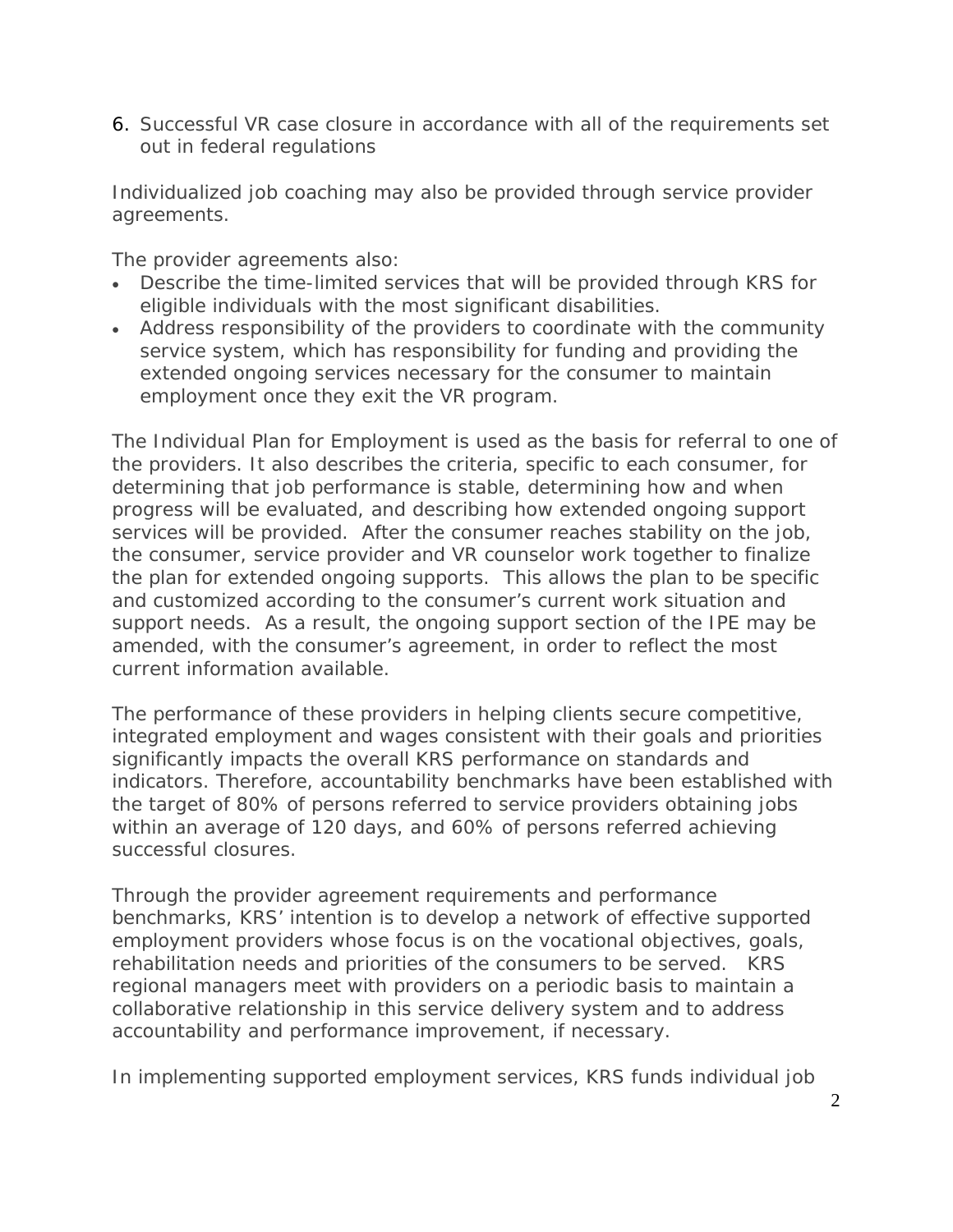6. Successful VR case closure in accordance with all of the requirements set out in federal regulations

Individualized job coaching may also be provided through service provider agreements.

The provider agreements also:

- Describe the time-limited services that will be provided through KRS for eligible individuals with the most significant disabilities.
- Address responsibility of the providers to coordinate with the community service system, which has responsibility for funding and providing the extended ongoing services necessary for the consumer to maintain employment once they exit the VR program.

The Individual Plan for Employment is used as the basis for referral to one of the providers. It also describes the criteria, specific to each consumer, for determining that job performance is stable, determining how and when progress will be evaluated, and describing how extended ongoing support services will be provided. After the consumer reaches stability on the job, the consumer, service provider and VR counselor work together to finalize the plan for extended ongoing supports. This allows the plan to be specific and customized according to the consumer's current work situation and support needs. As a result, the ongoing support section of the IPE may be amended, with the consumer's agreement, in order to reflect the most current information available.

The performance of these providers in helping clients secure competitive, integrated employment and wages consistent with their goals and priorities significantly impacts the overall KRS performance on standards and indicators. Therefore, accountability benchmarks have been established with the target of 80% of persons referred to service providers obtaining jobs within an average of 120 days, and 60% of persons referred achieving successful closures.

Through the provider agreement requirements and performance benchmarks, KRS' intention is to develop a network of effective supported employment providers whose focus is on the vocational objectives, goals, rehabilitation needs and priorities of the consumers to be served. KRS regional managers meet with providers on a periodic basis to maintain a collaborative relationship in this service delivery system and to address accountability and performance improvement, if necessary.

In implementing supported employment services, KRS funds individual job